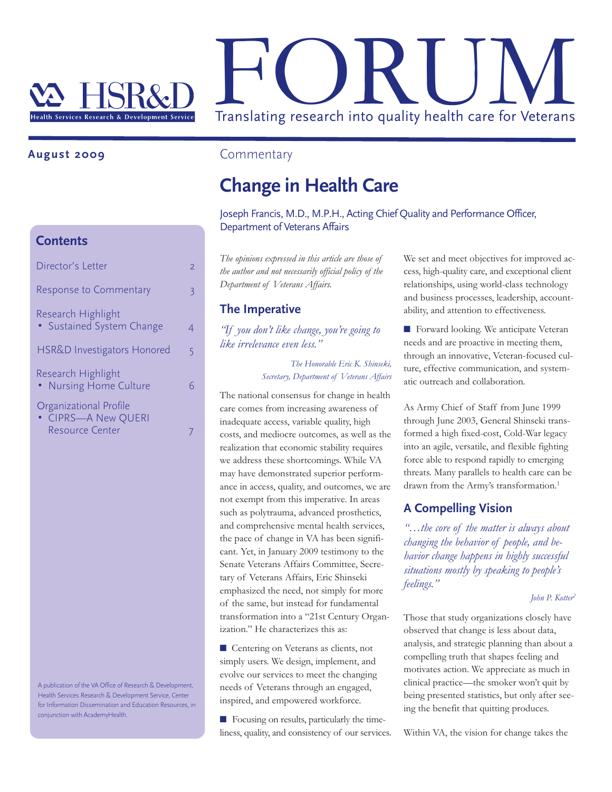

## **August 2009**

## **Contents**

| Director's Letter                                                       | 2 |
|-------------------------------------------------------------------------|---|
| <b>Response to Commentary</b>                                           | 3 |
| Research Highlight<br>• Sustained System Change                         |   |
| HSR&D Investigators Honored                                             | 5 |
| Research Highlight<br>• Nursing Home Culture                            |   |
| Organizational Profile<br>• CIPRS-A New QUERI<br><b>Resource Center</b> |   |
|                                                                         |   |

A publication of the VA Office of Research & Development, Health Services Research & Development Service, Center for Information Dissemination and Education Resources, in conjunction with AcademyHealth.

## **Commentary**

# **Change in Health Care**

Joseph Francis, M.D., M.P.H., Acting Chief Quality and Performance Officer, Department of Veterans Affairs

*The opinions expressed in this article are those of the author and not necessarily official policy of the Department of Veterans Affairs.*

## **The Imperative**

*"If you don't like change, you're going to like irrelevance even less."*

> *The Honorable Eric K. Shinseki, Secretary, Department of Veterans Affairs*

The national consensus for change in health care comes from increasing awareness of inadequate access, variable quality, high costs, and mediocre outcomes, as well as the realization that economic stability requires we address these shortcomings. While VA may have demonstrated superior performance in access, quality, and outcomes, we are not exempt from this imperative. In areas such as polytrauma, advanced prosthetics, and comprehensive mental health services, the pace of change in VA has been significant. Yet, in January 2009 testimony to the Senate Veterans Affairs Committee, Secretary of Veterans Affairs, Eric Shinseki emphasized the need, not simply for more of the same, but instead for fundamental transformation into a "21st Century Organization." He characterizes this as:

■ Centering on Veterans as clients, not simply users. We design, implement, and evolve our services to meet the changing needs of Veterans through an engaged, inspired, and empowered workforce.

■ Focusing on results, particularly the timeliness, quality, and consistency of our services. We set and meet objectives for improved access, high-quality care, and exceptional client relationships, using world-class technology and business processes, leadership, accountability, and attention to effectiveness.

■ Forward looking. We anticipate Veteran needs and are proactive in meeting them, through an innovative, Veteran-focused culture, effective communication, and systematic outreach and collaboration.

As Army Chief of Staff from June 1999 through June 2003, General Shinseki transformed a high fixed-cost, Cold-War legacy into an agile, versatile, and flexible fighting force able to respond rapidly to emerging threats. Many parallels to health care can be drawn from the Army's transformation. 1

## **A Compelling Vision**

*"…the core of the matter is always about changing the behavior of people, and behavior change happens in highly successful situations mostly by speaking to people's feelings."*

#### *John P. Kotter 2*

Those that study organizations closely have observed that change is less about data, analysis, and strategic planning than about a compelling truth that shapes feeling and motivates action. We appreciate as much in clinical practice—the smoker won't quit by being presented statistics, but only after seeing the benefit that quitting produces.

Within VA, the vision for change takes the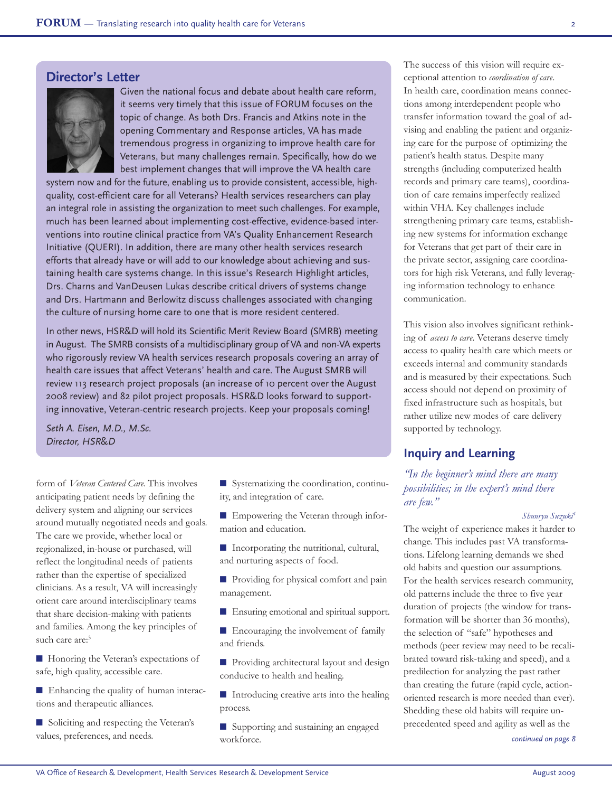## **Director's Letter**



Given the national focus and debate about health care reform, it seems very timely that this issue of FORUM focuses on the topic of change. As both Drs. Francis and Atkins note in the opening Commentary and Response articles, VA has made tremendous progress in organizing to improve health care for Veterans, but many challenges remain. Specifically, how do we best implement changes that will improve the VA health care

system now and for the future, enabling us to provide consistent, accessible, highquality, cost-efficient care for all Veterans? Health services researchers can play an integral role in assisting the organization to meet such challenges. For example, much has been learned about implementing cost-effective, evidence-based interventions into routine clinical practice from VA's Quality Enhancement Research Initiative (QUERI). In addition, there are many other health services research efforts that already have or will add to our knowledge about achieving and sustaining health care systems change. In this issue's Research Highlight articles, Drs. Charns and VanDeusen Lukas describe critical drivers of systems change and Drs. Hartmann and Berlowitz discuss challenges associated with changing the culture of nursing home care to one that is more resident centered.

In other news, HSR&D will hold its Scientific Merit Review Board (SMRB) meeting in August. The SMRB consists of a multidisciplinary group of VA and non-VA experts who rigorously review VA health services research proposals covering an array of health care issues that affect Veterans' health and care. The August SMRB will review 113 research project proposals (an increase of 10 percent over the August 2008 review) and 82 pilot project proposals. HSR&D looks forward to supporting innovative, Veteran-centric research projects. Keep your proposals coming!

*Seth A. Eisen, M.D., M.Sc. Director, HSR*&*D*

form of *Veteran Centered Care*. This involves anticipating patient needs by defining the delivery system and aligning our services around mutually negotiated needs and goals. The care we provide, whether local or regionalized, in-house or purchased, will reflect the longitudinal needs of patients rather than the expertise of specialized clinicians. As a result, VA will increasingly orient care around interdisciplinary teams that share decision-making with patients and families. Among the key principles of such care are:<sup>3</sup>

■ Honoring the Veteran's expectations of safe, high quality, accessible care.

■ Enhancing the quality of human interactions and therapeutic alliances.

■ Soliciting and respecting the Veteran's values, preferences, and needs.

■ Systematizing the coordination, continuity, and integration of care.

■ Empowering the Veteran through information and education.

■ Incorporating the nutritional, cultural, and nurturing aspects of food.

■ Providing for physical comfort and pain management.

■ Ensuring emotional and spiritual support.

■ Encouraging the involvement of family and friends.

■ Providing architectural layout and design conducive to health and healing.

■ Introducing creative arts into the healing process.

■ Supporting and sustaining an engaged workforce.

The success of this vision will require exceptional attention to *coordination of care*. In health care, coordination means connections among interdependent people who transfer information toward the goal of advising and enabling the patient and organizing care for the purpose of optimizing the patient's health status. Despite many strengths (including computerized health records and primary care teams), coordination of care remains imperfectly realized within VHA. Key challenges include strengthening primary care teams, establishing new systems for information exchange for Veterans that get part of their care in the private sector, assigning care coordinators for high risk Veterans, and fully leveraging information technology to enhance communication.

This vision also involves significant rethinking of *access to care*. Veterans deserve timely access to quality health care which meets or exceeds internal and community standards and is measured by their expectations. Such access should not depend on proximity of fixed infrastructure such as hospitals, but rather utilize new modes of care delivery supported by technology.

## **Inquiry and Learning**

*"In the beginner's mind there are many possibilities; in the expert's mind there are few."*

#### *Shunryu Suzuki 4*

The weight of experience makes it harder to change. This includes past VA transformations. Lifelong learning demands we shed old habits and question our assumptions. For the health services research community, old patterns include the three to five year duration of projects (the window for transformation will be shorter than 36 months), the selection of "safe" hypotheses and methods (peer review may need to be recalibrated toward risk-taking and speed), and a predilection for analyzing the past rather than creating the future (rapid cycle, actionoriented research is more needed than ever). Shedding these old habits will require unprecedented speed and agility as well as the

*continued on page 8*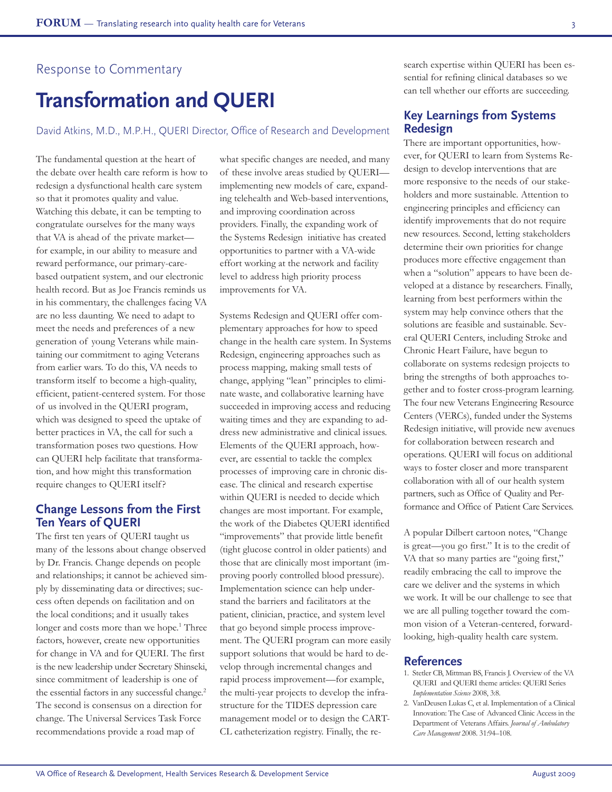## Response to Commentary

# **Transformation and QUERI**

David Atkins, M.D., M.P.H., QUERI Director, Office of Research and Development

The fundamental question at the heart of the debate over health care reform is how to redesign a dysfunctional health care system so that it promotes quality and value. Watching this debate, it can be tempting to congratulate ourselves for the many ways that VA is ahead of the private market for example, in our ability to measure and reward performance, our primary-carebased outpatient system, and our electronic health record. But as Joe Francis reminds us in his commentary, the challenges facing VA are no less daunting. We need to adapt to meet the needs and preferences of a new generation of young Veterans while maintaining our commitment to aging Veterans from earlier wars. To do this, VA needs to transform itself to become a high-quality, efficient, patient-centered system. For those of us involved in the QUERI program, which was designed to speed the uptake of better practices in VA, the call for such a transformation poses two questions. How can QUERI help facilitate that transformation, and how might this transformation require changes to QUERI itself?

### **Change Lessons from the First Ten Years of QUERI**

The first ten years of QUERI taught us many of the lessons about change observed by Dr. Francis. Change depends on people and relationships; it cannot be achieved simply by disseminating data or directives; success often depends on facilitation and on the local conditions; and it usually takes longer and costs more than we hope.<sup>1</sup> Three factors, however, create new opportunities for change in VA and for QUERI. The first is the new leadership under Secretary Shinseki, since commitment of leadership is one of the essential factors in any successful change. 2 The second is consensus on a direction for change. The Universal Services Task Force recommendations provide a road map of

what specific changes are needed, and many of these involve areas studied by QUERI implementing new models of care, expanding telehealth and Web-based interventions, and improving coordination across providers. Finally, the expanding work of the Systems Redesign initiative has created opportunities to partner with a VA-wide effort working at the network and facility level to address high priority process improvements for VA.

Systems Redesign and QUERI offer complementary approaches for how to speed change in the health care system. In Systems Redesign, engineering approaches such as process mapping, making small tests of change, applying "lean" principles to eliminate waste, and collaborative learning have succeeded in improving access and reducing waiting times and they are expanding to address new administrative and clinical issues. Elements of the QUERI approach, however, are essential to tackle the complex processes of improving care in chronic disease. The clinical and research expertise within QUERI is needed to decide which changes are most important. For example, the work of the Diabetes QUERI identified "improvements" that provide little benefit (tight glucose control in older patients) and those that are clinically most important (improving poorly controlled blood pressure). Implementation science can help understand the barriers and facilitators at the patient, clinician, practice, and system level that go beyond simple process improvement. The QUERI program can more easily support solutions that would be hard to develop through incremental changes and rapid process improvement—for example, the multi-year projects to develop the infrastructure for the TIDES depression care management model or to design the CART-CL catheterization registry. Finally, the research expertise within QUERI has been essential for refining clinical databases so we can tell whether our efforts are succeeding.

## **Key Learnings from Systems Redesign**

There are important opportunities, however, for QUERI to learn from Systems Redesign to develop interventions that are more responsive to the needs of our stakeholders and more sustainable. Attention to engineering principles and efficiency can identify improvements that do not require new resources. Second, letting stakeholders determine their own priorities for change produces more effective engagement than when a "solution" appears to have been developed at a distance by researchers. Finally, learning from best performers within the system may help convince others that the solutions are feasible and sustainable. Several QUERI Centers, including Stroke and Chronic Heart Failure, have begun to collaborate on systems redesign projects to bring the strengths of both approaches together and to foster cross-program learning. The four new Veterans Engineering Resource Centers (VERCs), funded under the Systems Redesign initiative, will provide new avenues for collaboration between research and operations. QUERI will focus on additional ways to foster closer and more transparent collaboration with all of our health system partners, such as Office of Quality and Performance and Office of Patient Care Services.

A popular Dilbert cartoon notes, "Change is great—you go first." It is to the credit of VA that so many parties are "going first," readily embracing the call to improve the care we deliver and the systems in which we work. It will be our challenge to see that we are all pulling together toward the common vision of a Veteran-centered, forwardlooking, high-quality health care system.

#### **References**

- 1. Stetler CB, Mittman BS, Francis J. Overview of the VA QUERI and QUERI theme articles: QUERI Series *Implementation Science* 2008, 3:8.
- 2. VanDeusen Lukas C, et al. Implementation of a Clinical Innovation: The Case of Advanced Clinic Access in the Department of Veterans Affairs. *Journal of Ambulatory Care Management* 2008. 31:94–108.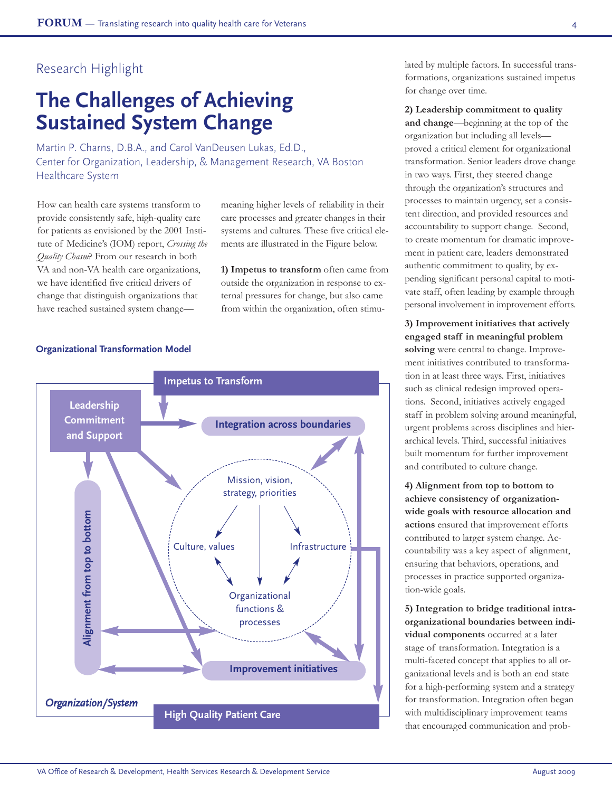## Research Highlight

# **The Challenges of Achieving Sustained System Change**

Martin P. Charns, D.B.A., and Carol VanDeusen Lukas, Ed.D., Center for Organization, Leadership, & Management Research, VA Boston Healthcare System

How can health care systems transform to provide consistently safe, high-quality care for patients as envisioned by the 2001 Institute of Medicine's (IOM) report, *Crossing the Quality Chasm*? From our research in both VA and non-VA health care organizations, we have identified five critical drivers of change that distinguish organizations that have reached sustained system changemeaning higher levels of reliability in their care processes and greater changes in their systems and cultures. These five critical elements are illustrated in the Figure below.

**1) Impetus to transform** often came from outside the organization in response to external pressures for change, but also came from within the organization, often stimu-

#### **Organizational Transformation Model**



lated by multiple factors. In successful transformations, organizations sustained impetus for change over time.

#### **2) Leadership commitment to quality**

**and change**—beginning at the top of the organization but including all levels proved a critical element for organizational transformation. Senior leaders drove change in two ways. First, they steered change through the organization's structures and processes to maintain urgency, set a consistent direction, and provided resources and accountability to support change. Second, to create momentum for dramatic improvement in patient care, leaders demonstrated authentic commitment to quality, by expending significant personal capital to motivate staff, often leading by example through personal involvement in improvement efforts.

**3) Improvement initiatives that actively engaged staff in meaningful problem solving** were central to change. Improvement initiatives contributed to transformation in at least three ways. First, initiatives such as clinical redesign improved operations. Second, initiatives actively engaged staff in problem solving around meaningful, urgent problems across disciplines and hierarchical levels. Third, successful initiatives built momentum for further improvement and contributed to culture change.

**4) Alignment from top to bottom to achieve consistency of organizationwide goals with resource allocation and actions** ensured that improvement efforts contributed to larger system change. Accountability was a key aspect of alignment, ensuring that behaviors, operations, and processes in practice supported organization-wide goals.

**5) Integration to bridge traditional intraorganizational boundaries between individual components** occurred at a later stage of transformation. Integration is a multi-faceted concept that applies to all organizational levels and is both an end state for a high-performing system and a strategy for transformation. Integration often began with multidisciplinary improvement teams that encouraged communication and prob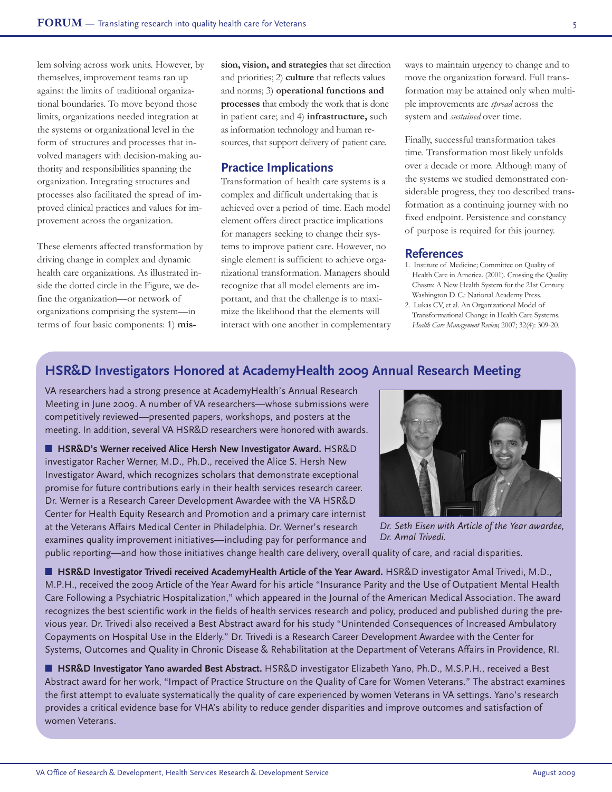lem solving across work units. However, by themselves, improvement teams ran up against the limits of traditional organizational boundaries. To move beyond those limits, organizations needed integration at the systems or organizational level in the form of structures and processes that involved managers with decision-making authority and responsibilities spanning the organization. Integrating structures and processes also facilitated the spread of improved clinical practices and values for improvement across the organization.

These elements affected transformation by driving change in complex and dynamic health care organizations. As illustrated inside the dotted circle in the Figure, we define the organization—or network of organizations comprising the system—in terms of four basic components: 1) **mis-** **sion, vision, and strategies** that set direction and priorities; 2) **culture** that reflects values and norms; 3) **operational functions and processes** that embody the work that is done in patient care; and 4) **infrastructure,** such as information technology and human resources, that support delivery of patient care.

## **Practice Implications**

Transformation of health care systems is a complex and difficult undertaking that is achieved over a period of time. Each model element offers direct practice implications for managers seeking to change their systems to improve patient care. However, no single element is sufficient to achieve organizational transformation. Managers should recognize that all model elements are important, and that the challenge is to maximize the likelihood that the elements will interact with one another in complementary

ways to maintain urgency to change and to move the organization forward. Full transformation may be attained only when multiple improvements are *spread* across the system and *sustained* over time.

Finally, successful transformation takes time. Transformation most likely unfolds over a decade or more. Although many of the systems we studied demonstrated considerable progress, they too described transformation as a continuing journey with no fixed endpoint. Persistence and constancy of purpose is required for this journey.

#### **References**

- 1. Institute of Medicine; Committee on Quality of Health Care in America. (2001). Crossing the Quality Chasm: A New Health System for the 21st Century. Washington D. C.: National Academy Press.
- 2. Lukas CV, et al. An Organizational Model of Transformational Change in Health Care Systems. *Health Care Management Review,* 2007; 32(4): 309-20.

## **HSR&D Investigators Honored at AcademyHealth 2009 Annual Research Meeting**

VA researchers had a strong presence at AcademyHealth's Annual Research Meeting in June 2009. A number of VA researchers—whose submissions were competitively reviewed—presented papers, workshops, and posters at the meeting. In addition, several VA HSR&D researchers were honored with awards.

■ **HSR&D's Werner received Alice Hersh New Investigator Award.** HSR&D investigator Racher Werner, M.D., Ph.D., received the Alice S. Hersh New Investigator Award, which recognizes scholars that demonstrate exceptional promise for future contributions early in their health services research career. Dr. Werner is a Research Career Development Awardee with the VA HSR&D Center for Health Equity Research and Promotion and a primary care internist at the Veterans Affairs Medical Center in Philadelphia. Dr. Werner's research examines quality improvement initiatives—including pay for performance and



*Dr. Seth Eisen with Article of the Year awardee, Dr. Amal Trivedi.*

public reporting—and how those initiatives change health care delivery, overall quality of care, and racial disparities.

■ **HSR&D Investigator Trivedi received AcademyHealth Article of the Year Award.** HSR&D investigator Amal Trivedi, M.D., M.P.H., received the 2009 Article of the Year Award for his article "Insurance Parity and the Use of Outpatient Mental Health Care Following a Psychiatric Hospitalization," which appeared in the Journal of the American Medical Association. The award recognizes the best scientific work in the fields of health services research and policy, produced and published during the previous year. Dr. Trivedi also received a Best Abstract award for his study "Unintended Consequences of Increased Ambulatory Copayments on Hospital Use in the Elderly." Dr. Trivedi is a Research Career Development Awardee with the Center for Systems, Outcomes and Quality in Chronic Disease & Rehabilitation at the Department of Veterans Affairs in Providence, RI.

■ **HSR&D Investigator Yano awarded Best Abstract.** HSR&D investigator Elizabeth Yano, Ph.D., M.S.P.H., received a Best Abstract award for her work, "Impact of Practice Structure on the Quality of Care for Women Veterans." The abstract examines the first attempt to evaluate systematically the quality of care experienced by women Veterans in VA settings. Yano's research provides a critical evidence base for VHA's ability to reduce gender disparities and improve outcomes and satisfaction of women Veterans.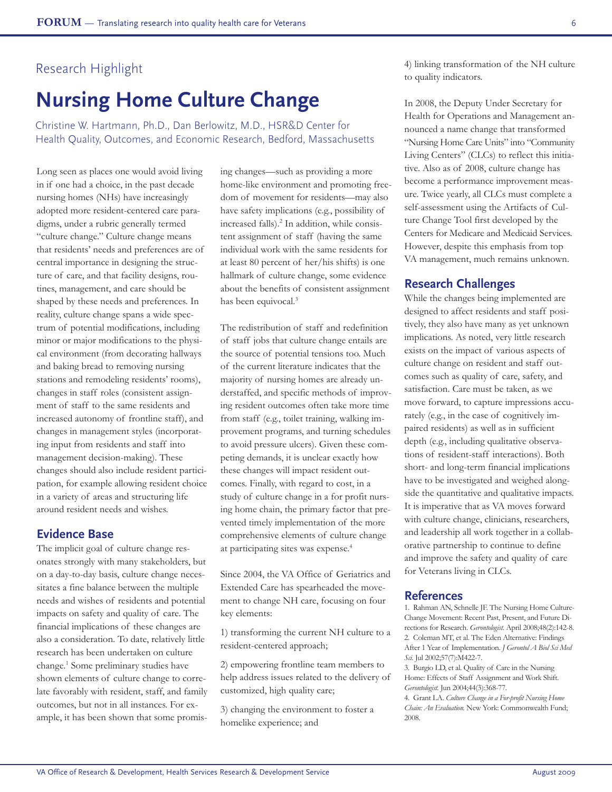## Research Highlight

# **Nursing Home Culture Change**

Christine W. Hartmann, Ph.D., Dan Berlowitz, M.D., HSR&D Center for Health Quality, Outcomes, and Economic Research, Bedford, Massachusetts

Long seen as places one would avoid living in if one had a choice, in the past decade nursing homes (NHs) have increasingly adopted more resident-centered care paradigms, under a rubric generally termed "culture change." Culture change means that residents' needs and preferences are of central importance in designing the structure of care, and that facility designs, routines, management, and care should be shaped by these needs and preferences. In reality, culture change spans a wide spectrum of potential modifications, including minor or major modifications to the physical environment (from decorating hallways and baking bread to removing nursing stations and remodeling residents' rooms), changes in staff roles (consistent assignment of staff to the same residents and increased autonomy of frontline staff), and changes in management styles (incorporating input from residents and staff into management decision-making). These changes should also include resident participation, for example allowing resident choice in a variety of areas and structuring life around resident needs and wishes.

### **Evidence Base**

The implicit goal of culture change resonates strongly with many stakeholders, but on a day-to-day basis, culture change necessitates a fine balance between the multiple needs and wishes of residents and potential impacts on safety and quality of care. The financial implications of these changes are also a consideration. To date, relatively little research has been undertaken on culture change. <sup>1</sup> Some preliminary studies have shown elements of culture change to correlate favorably with resident, staff, and family outcomes, but not in all instances. For example, it has been shown that some promising changes—such as providing a more home-like environment and promoting freedom of movement for residents—may also have safety implications (e.g., possibility of increased falls). <sup>2</sup> In addition, while consistent assignment of staff (having the same individual work with the same residents for at least 80 percent of her/his shifts) is one hallmark of culture change, some evidence about the benefits of consistent assignment has been equivocal. 3

The redistribution of staff and redefinition of staff jobs that culture change entails are the source of potential tensions too. Much of the current literature indicates that the majority of nursing homes are already understaffed, and specific methods of improving resident outcomes often take more time from staff (e.g., toilet training, walking improvement programs, and turning schedules to avoid pressure ulcers). Given these competing demands, it is unclear exactly how these changes will impact resident outcomes. Finally, with regard to cost, in a study of culture change in a for profit nursing home chain, the primary factor that prevented timely implementation of the more comprehensive elements of culture change at participating sites was expense. 4

Since 2004, the VA Office of Geriatrics and Extended Care has spearheaded the movement to change NH care, focusing on four key elements:

1) transforming the current NH culture to a resident-centered approach;

2) empowering frontline team members to help address issues related to the delivery of customized, high quality care;

3) changing the environment to foster a homelike experience; and

4) linking transformation of the NH culture to quality indicators.

In 2008, the Deputy Under Secretary for Health for Operations and Management announced a name change that transformed "Nursing Home Care Units" into "Community Living Centers" (CLCs) to reflect this initiative. Also as of 2008, culture change has become a performance improvement measure. Twice yearly, all CLCs must complete a self-assessment using the Artifacts of Culture Change Tool first developed by the Centers for Medicare and Medicaid Services. However, despite this emphasis from top VA management, much remains unknown.

### **Research Challenges**

While the changes being implemented are designed to affect residents and staff positively, they also have many as yet unknown implications. As noted, very little research exists on the impact of various aspects of culture change on resident and staff outcomes such as quality of care, safety, and satisfaction. Care must be taken, as we move forward, to capture impressions accurately (e.g., in the case of cognitively impaired residents) as well as in sufficient depth (e.g., including qualitative observations of resident-staff interactions). Both short- and long-term financial implications have to be investigated and weighed alongside the quantitative and qualitative impacts. It is imperative that as VA moves forward with culture change, clinicians, researchers, and leadership all work together in a collaborative partnership to continue to define and improve the safety and quality of care for Veterans living in CLCs.

## **References**

1. Rahman AN, Schnelle JF. The Nursing Home Culture-Change Movement: Recent Past, Present, and Future Directions for Research. *Gerontologist.* April 2008;48(2):142-8. 2. Coleman MT, et al. The Eden Alternative: Findings After 1 Year of Implementation. *J Gerontol A Biol Sci Med Sci.* Jul 2002;57(7):M422-7.

3. Burgio LD, et al. Quality of Care in the Nursing Home: Effects of Staff Assignment and Work Shift. *Gerontologist.* Jun 2004;44(3):368-77.

4. Grant LA. *Culture Change in a For-profit Nursing Home Chain: An Evaluation.* New York: Commonwealth Fund; 2008.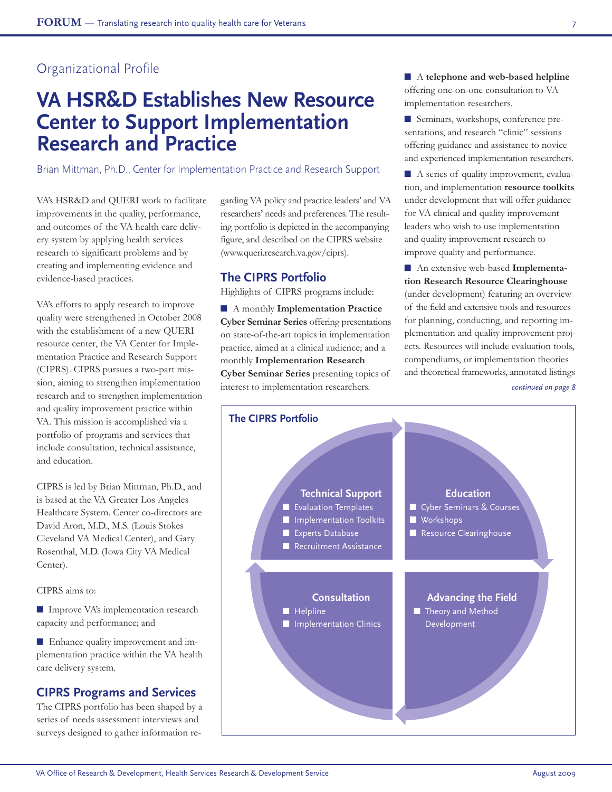## Organizational Profile

# **VA HSR&D Establishes New Resource Center to Support Implementation Research and Practice**

Brian Mittman, Ph.D., Center for Implementation Practice and Research Support

VA's HSR&D and QUERI work to facilitate improvements in the quality, performance, and outcomes of the VA health care delivery system by applying health services research to significant problems and by creating and implementing evidence and evidence-based practices.

VA's efforts to apply research to improve quality were strengthened in October 2008 with the establishment of a new QUERI resource center, the VA Center for Implementation Practice and Research Support (CIPRS). CIPRS pursues a two-part mission, aiming to strengthen implementation research and to strengthen implementation and quality improvement practice within VA. This mission is accomplished via a portfolio of programs and services that include consultation, technical assistance, and education.

CIPRS is led by Brian Mittman, Ph.D., and is based at the VA Greater Los Angeles Healthcare System. Center co-directors are David Aron, M.D., M.S. (Louis Stokes Cleveland VA Medical Center), and Gary Rosenthal, M.D. (Iowa City VA Medical Center).

CIPRS aims to:

■ Improve VA's implementation research capacity and performance; and

■ Enhance quality improvement and implementation practice within the VA health care delivery system.

## **CIPRS Programs and Services**

The CIPRS portfolio has been shaped by a series of needs assessment interviews and surveys designed to gather information regarding VA policy and practice leaders' and VA researchers' needs and preferences. The resulting portfolio is depicted in the accompanying figure, and described on the CIPRS website (www.queri.research.va.gov/ciprs).

## **The CIPRS Portfolio**

Highlights of CIPRS programs include:

■ A monthly **Implementation Practice Cyber Seminar Series** offering presentations on state-of-the-art topics in implementation practice, aimed at a clinical audience; and a monthly **Implementation Research Cyber Seminar Series** presenting topics of interest to implementation researchers.

■ A **telephone** and web-based helpline offering one-on-one consultation to VA implementation researchers.

■ Seminars, workshops, conference presentations, and research "clinic" sessions offering guidance and assistance to novice and experienced implementation researchers.

■ A series of quality improvement, evaluation, and implementation **resource toolkits** under development that will offer guidance for VA clinical and quality improvement leaders who wish to use implementation and quality improvement research to improve quality and performance.

■ An extensive web-based Implementa**tion Research Resource Clearinghouse** (under development) featuring an overview of the field and extensive tools and resources for planning, conducting, and reporting implementation and quality improvement projects. Resources will include evaluation tools, compendiums, or implementation theories and theoretical frameworks, annotated listings

*continued on page 8*